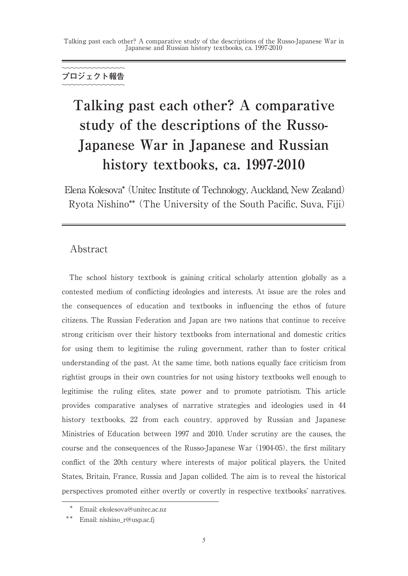# **プロジェクト報告**

# **Talking past each other? A comparative study of the descriptions of the Russo-Japanese War in Japanese and Russian history textbooks, ca. 1997-2010**

Elena Kolesova\* (Unitec Institute of Technology, Auckland, New Zealand) Ryota Nishino\*\* (The University of the South Pacific, Suva, Fiji)

## Abstract

The school history textbook is gaining critical scholarly attention globally as a contested medium of conflicting ideologies and interests. At issue are the roles and the consequences of education and textbooks in influencing the ethos of future citizens. The Russian Federation and Japan are two nations that continue to receive strong criticism over their history textbooks from international and domestic critics for using them to legitimise the ruling government, rather than to foster critical understanding of the past. At the same time, both nations equally face criticism from rightist groups in their own countries for not using history textbooks well enough to legitimise the ruling elites, state power and to promote patriotism. This article provides comparative analyses of narrative strategies and ideologies used in 44 history textbooks, 22 from each country, approved by Russian and Japanese Ministries of Education between 1997 and 2010. Under scrutiny are the causes, the course and the consequences of the Russo-Japanese War (1904-05), the first military conflict of the 20th century where interests of major political players, the United States, Britain, France, Russia and Japan collided. The aim is to reveal the historical perspectives promoted either overtly or covertly in respective textbooks' narratives.

Email: ekolesova@unitec.ac.nz

Email: nishino\_r@usp.ac.fj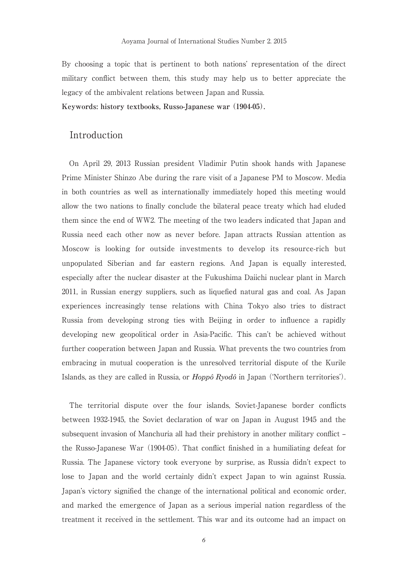By choosing a topic that is pertinent to both nations' representation of the direct military conflict between them, this study may help us to better appreciate the legacy of the ambivalent relations between Japan and Russia.

**Keywords: history textbooks, Russo-Japanese war (1904-05).**

## Introduction

On April 29, 2013 Russian president Vladimir Putin shook hands with Japanese Prime Minister Shinzo Abe during the rare visit of a Japanese PM to Moscow. Media in both countries as well as internationally immediately hoped this meeting would allow the two nations to finally conclude the bilateral peace treaty which had eluded them since the end of WW2. The meeting of the two leaders indicated that Japan and Russia need each other now as never before. Japan attracts Russian attention as Moscow is looking for outside investments to develop its resource-rich but unpopulated Siberian and far eastern regions. And Japan is equally interested, especially after the nuclear disaster at the Fukushima Daiichi nuclear plant in March 2011, in Russian energy suppliers, such as liquefied natural gas and coal. As Japan experiences increasingly tense relations with China Tokyo also tries to distract Russia from developing strong ties with Beijing in order to influence a rapidly developing new geopolitical order in Asia-Pacific. This can't be achieved without further cooperation between Japan and Russia. What prevents the two countries from embracing in mutual cooperation is the unresolved territorial dispute of the Kurile Islands, as they are called in Russia, or *Hoppô Ryodô* in Japan ('Northern territories').

The territorial dispute over the four islands, Soviet-Japanese border conflicts between 1932-1945, the Soviet declaration of war on Japan in August 1945 and the subsequent invasion of Manchuria all had their prehistory in another military conflict – the Russo-Japanese War (1904-05). That conflict finished in a humiliating defeat for Russia. The Japanese victory took everyone by surprise, as Russia didn't expect to lose to Japan and the world certainly didn't expect Japan to win against Russia. Japan's victory signified the change of the international political and economic order, and marked the emergence of Japan as a serious imperial nation regardless of the treatment it received in the settlement. This war and its outcome had an impact on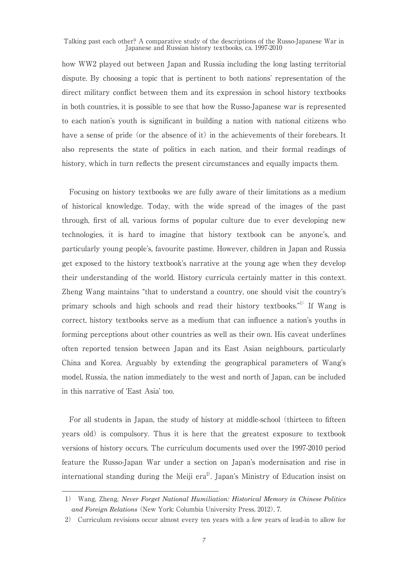how WW2 played out between Japan and Russia including the long lasting territorial dispute. By choosing a topic that is pertinent to both nations' representation of the direct military conflict between them and its expression in school history textbooks in both countries, it is possible to see that how the Russo-Japanese war is represented to each nation's youth is significant in building a nation with national citizens who have a sense of pride (or the absence of it) in the achievements of their forebears. It also represents the state of politics in each nation, and their formal readings of history, which in turn reflects the present circumstances and equally impacts them.

Focusing on history textbooks we are fully aware of their limitations as a medium of historical knowledge. Today, with the wide spread of the images of the past through, first of all, various forms of popular culture due to ever developing new technologies, it is hard to imagine that history textbook can be anyone's, and particularly young people's, favourite pastime. However, children in Japan and Russia get exposed to the history textbook's narrative at the young age when they develop their understanding of the world. History curricula certainly matter in this context. Zheng Wang maintains "that to understand a country, one should visit the country's primary schools and high schools and read their history textbooks."<sup>1)</sup> If Wang is correct, history textbooks serve as a medium that can influence a nation's youths in forming perceptions about other countries as well as their own. His caveat underlines often reported tension between Japan and its East Asian neighbours, particularly China and Korea. Arguably by extending the geographical parameters of Wang's model, Russia, the nation immediately to the west and north of Japan, can be included in this narrative of 'East Asia' too.

For all students in Japan, the study of history at middle-school (thirteen to fifteen years old) is compulsory. Thus it is here that the greatest exposure to textbook versions of history occurs. The curriculum documents used over the 1997-2010 period feature the Russo-Japan War under a section on Japan's modernisation and rise in international standing during the Meiji era<sup>2)</sup>. Japan's Ministry of Education insist on

<sup>1)</sup> Wang, Zheng, *Never Forget National Humiliation: Historical Memory in Chinese Politics and Foreign Relations* (New York: Columbia University Press, 2012), 7.

<sup>2)</sup> Curriculum revisions occur almost every ten years with a few years of lead-in to allow for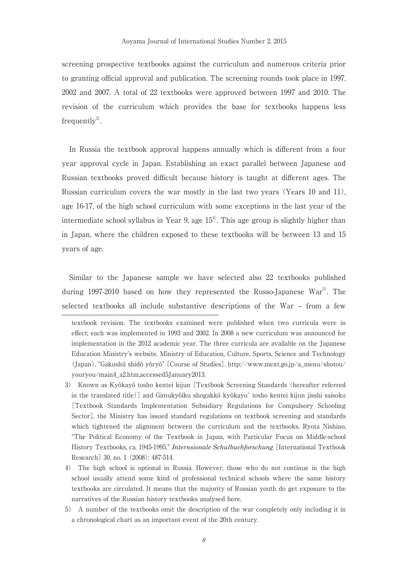screening prospective textbooks against the curriculum and numerous criteria prior to granting official approval and publication. The screening rounds took place in 1997, 2002 and 2007. A total of 22 textbooks were approved between 1997 and 2010. The revision of the curriculum which provides the base for textbooks happens less frequently $3^{\circ}$ .

In Russia the textbook approval happens annually which is different from a four year approval cycle in Japan. Establishing an exact parallel between Japanese and Russian textbooks proved difficult because history is taught at different ages. The Russian curriculum covers the war mostly in the last two years (Years 10 and 11), age 16-17, of the high school curriculum with some exceptions in the last year of the intermediate school syllabus in Year 9, age  $15<sup>4</sup>$ . This age group is slightly higher than in Japan, where the children exposed to these textbooks will be between 13 and 15 years of age.

Similar to the Japanese sample we have selected also 22 textbooks published during 1997-2010 based on how they represented the Russo-Japanese  $\text{War}^{5}$ . The selected textbooks all include substantive descriptions of the War – from a few

textbook revision. The textbooks examined were published when two curricula were in effect; each was implemented in 1993 and 2002. In 2008 a new curriculum was announced for implementation in the 2012 academic year. The three curricula are available on the Japanese Education Ministry's website. Ministry of Education, Culture, Sports, Science and Technology (Japan), "Gakushû shidô yôryô" [Course of Studies]. http://www.mext.go.jp/a\_menu/shotou/ youryou/main4\_a2.htm,accessed5January2013.

<sup>3)</sup> Known as Kyôkayô tosho kentei kijun [Textbook Screening Standards (hereafter referred in the translated title)] and Gimukyôiku shogakkô kyôkayoˆ tosho kentei kijun jisshi saisoku [Textbook Standards Implementation Subsidiary Regulations for Compulsory Schooling Sector], the Ministry has issued standard regulations on textbook screening and standards which tightened the alignment between the curriculum and the textbooks. Ryota Nishino, "The Political Economy of the Textbook in Japan, with Particular Focus on Middle-school History Textbooks, ca. 1945-1995," *Internsionale Schulbuchforschung* [International Textbook Research] 30, no. 1 (2008): 487-514.

<sup>4)</sup> The high school is optional in Russia. However, those who do not continue in the high school usually attend some kind of professional technical schools where the same history textbooks are circulated. It means that the majority of Russian youth do get exposure to the narratives of the Russian history textbooks analysed here.

<sup>5)</sup> A number of the textbooks omit the description of the war completely only including it in a chronological chart as an important event of the 20th century.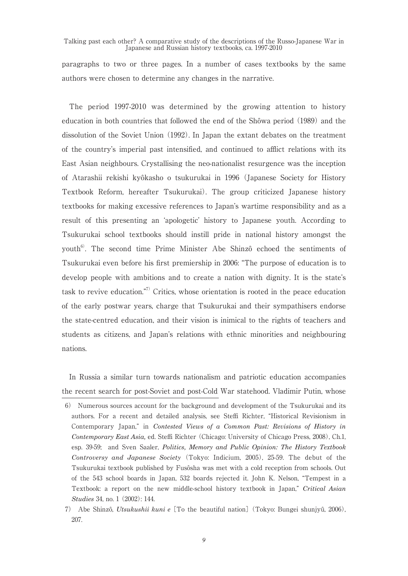paragraphs to two or three pages. In a number of cases textbooks by the same authors were chosen to determine any changes in the narrative.

The period 1997-2010 was determined by the growing attention to history education in both countries that followed the end of the Shôwa period (1989) and the dissolution of the Soviet Union (1992). In Japan the extant debates on the treatment of the country's imperial past intensified, and continued to afflict relations with its East Asian neighbours. Crystallising the neo-nationalist resurgence was the inception of Atarashii rekishi kyôkasho o tsukurukai in 1996 (Japanese Society for History Textbook Reform, hereafter Tsukurukai). The group criticized Japanese history textbooks for making excessive references to Japan's wartime responsibility and as a result of this presenting an 'apologetic' history to Japanese youth. According to Tsukurukai school textbooks should instill pride in national history amongst the youth<sup>6)</sup>. The second time Prime Minister Abe Shinzô echoed the sentiments of Tsukurukai even before his first premiership in 2006: "The purpose of education is to develop people with ambitions and to create a nation with dignity. It is the state's task to revive education."<sup>7)</sup> Critics, whose orientation is rooted in the peace education of the early postwar years, charge that Tsukurukai and their sympathisers endorse the state-centred education, and their vision is inimical to the rights of teachers and students as citizens, and Japan's relations with ethnic minorities and neighbouring nations.

In Russia a similar turn towards nationalism and patriotic education accompanies the recent search for post-Soviet and post-Cold War statehood. Vladimir Putin, whose

<sup>6)</sup> Numerous sources account for the background and development of the Tsukurukai and its authors. For a recent and detailed analysis, see Steffi Richter, "Historical Revisionism in Contemporary Japan," in *Contested Views of a Common Past: Revisions of History in Contemporary East Asia,* ed. Steffi Richter (Chicago: University of Chicago Press, 2008), Ch.1, esp. 39-59; and Sven Saaler, *Politics, Memory and Public Opinion: The History Textbook Controversy and Japanese Society* (Tokyo: Indicium, 2005), 25-59. The debut of the Tsukurukai textbook published by Fusôsha was met with a cold reception from schools. Out of the 543 school boards in Japan, 532 boards rejected it. John K. Nelson, "Tempest in a Textbook: a report on the new middle-school history textbook in Japan," *Critical Asian Studies* 34, no. 1 (2002): 144.

<sup>7)</sup> Abe Shinzô, *Utsukushii kuni e* [To the beautiful nation] (Tokyo: Bungei shunjyû, 2006), 207.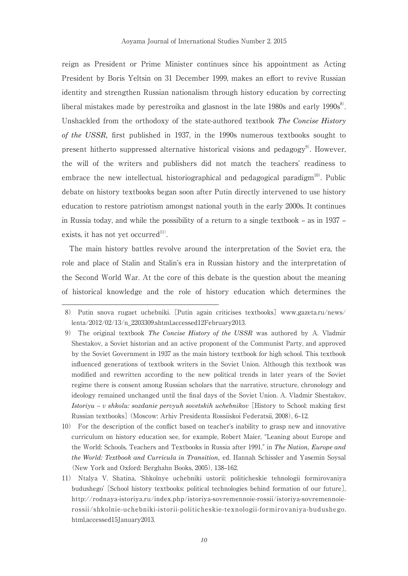reign as President or Prime Minister continues since his appointment as Acting President by Boris Yeltsin on 31 December 1999, makes an effort to revive Russian identity and strengthen Russian nationalism through history education by correcting liberal mistakes made by perestroika and glasnost in the late  $1980s$  and early  $1990s^{8}$ . Unshackled from the orthodoxy of the state-authored textbook *The Concise History of the USSR,* first published in 1937, in the 1990s numerous textbooks sought to present hitherto suppressed alternative historical visions and pedagogy<sup>9</sup>. However, the will of the writers and publishers did not match the teachers' readiness to embrace the new intellectual, historiographical and pedagogical paradigm $^{10}$ . Public debate on history textbooks began soon after Putin directly intervened to use history education to restore patriotism amongst national youth in the early 2000s. It continues in Russia today, and while the possibility of a return to a single textbook – as in 1937 – exists, it has not yet occurred<sup>11)</sup>.

The main history battles revolve around the interpretation of the Soviet era, the role and place of Stalin and Stalin's era in Russian history and the interpretation of the Second World War. At the core of this debate is the question about the meaning of historical knowledge and the role of history education which determines the

<sup>8)</sup> Putin snova rugaet uchebniki. [Putin again criticises textbooks] www.gazeta.ru/news/ lenta/2012/02/13/n\_2203309.shtml,accessed12February2013.

<sup>9)</sup> The original textbook *The Concise History of the USSR* was authored by A. Vladmir Shestakov, a Soviet historian and an active proponent of the Communist Party, and approved by the Soviet Government in 1937 as the main history textbook for high school. This textbook influenced generations of textbook writers in the Soviet Union. Although this textbook was modified and rewritten according to the new political trends in later years of the Soviet regime there is consent among Russian scholars that the narrative, structure, chronology and ideology remained unchanged until the final days of the Soviet Union. A. Vladmir Shestakov, *Istoriyu – v shkolu: sozdanie pervyuh sovetskih uchebnikov* [History to School: making first Russian textbooks] (Moscow: Arhiv Presidenta Rossiiskoi Federatsii, 2008), 6–12.

<sup>10)</sup> For the description of the conflict based on teacher's inability to grasp new and innovative curriculum on history education see, for example, Robert Maier, "Leaning about Europe and the World: Schools, Teachers and Textbooks in Russia after 1991," in *The Nation, Europe and the World: Textbook and Curricula in Transition,* ed. Hannah Schissler and Yasemin Soysal (New York and Oxford: Berghahn Books, 2005), 138–162.

<sup>11)</sup> Ntalya V. Shatina, 'Shkolnye uchebniki ustorii: politicheskie tehnologii formirovaniya budushego' [School history textbooks: political technologies behind formation of our future], http://rodnaya-istoriya.ru/index.php/istoriya-sovremennoie-rossii/istoriya-sovremennoierossii/shkolnie-uchebniki-istorii-politicheskie-texnologii-formirovaniya-budushego. html,accessed15January2013.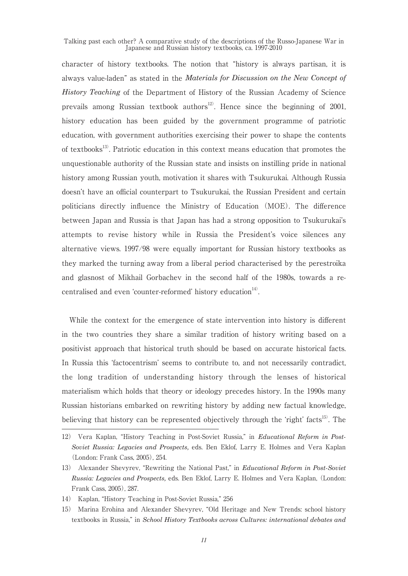character of history textbooks. The notion that "history is always partisan, it is always value-laden" as stated in the *Materials for Discussion on the New Concept of History Teaching* of the Department of History of the Russian Academy of Science prevails among Russian textbook authors<sup>12)</sup>. Hence since the beginning of 2001, history education has been guided by the government programme of patriotic education, with government authorities exercising their power to shape the contents of textbooks<sup>13</sup>. Patriotic education in this context means education that promotes the unquestionable authority of the Russian state and insists on instilling pride in national history among Russian youth, motivation it shares with Tsukurukai. Although Russia doesn't have an official counterpart to Tsukurukai, the Russian President and certain politicians directly influence the Ministry of Education (MOE). The difference between Japan and Russia is that Japan has had a strong opposition to Tsukurukai's attempts to revise history while in Russia the President's voice silences any alternative views. 1997/98 were equally important for Russian history textbooks as they marked the turning away from a liberal period characterised by the perestroika and glasnost of Mikhail Gorbachev in the second half of the 1980s, towards a recentralised and even 'counter-reformed' history education<sup>14)</sup>.

While the context for the emergence of state intervention into history is different in the two countries they share a similar tradition of history writing based on a positivist approach that historical truth should be based on accurate historical facts. In Russia this 'factocentrism' seems to contribute to, and not necessarily contradict, the long tradition of understanding history through the lenses of historical materialism which holds that theory or ideology precedes history. In the 1990s many Russian historians embarked on rewriting history by adding new factual knowledge, believing that history can be represented objectively through the 'right' facts<sup>15)</sup>. The

<sup>12)</sup> Vera Kaplan, "History Teaching in Post-Soviet Russia," in *Educational Reform in Post-Soviet Russia: Legacies and Prospects,* eds. Ben Eklof, Larry E. Holmes and Vera Kaplan (London: Frank Cass, 2005), 254.

<sup>13)</sup> Alexander Shevyrev, "Rewriting the National Past," in *Educational Reform in Post-Soviet Russia: Legacies and Prospects,* eds. Ben Eklof, Larry E. Holmes and Vera Kaplan, (London: Frank Cass, 2005), 287.

<sup>14)</sup> Kaplan, "History Teaching in Post-Soviet Russia," 256

<sup>15)</sup> Marina Erohina and Alexander Shevyrev, "Old Heritage and New Trends: school history textbooks in Russia," in *School History Textbooks across Cultures: international debates and*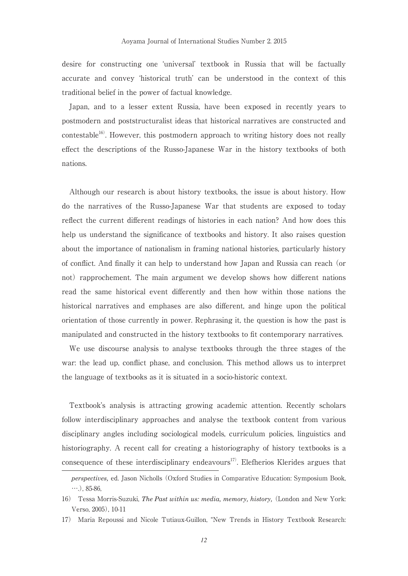desire for constructing one 'universal' textbook in Russia that will be factually accurate and convey 'historical truth' can be understood in the context of this traditional belief in the power of factual knowledge.

Japan, and to a lesser extent Russia, have been exposed in recently years to postmodern and poststructuralist ideas that historical narratives are constructed and contestable<sup>16)</sup>. However, this postmodern approach to writing history does not really effect the descriptions of the Russo-Japanese War in the history textbooks of both nations.

Although our research is about history textbooks, the issue is about history. How do the narratives of the Russo-Japanese War that students are exposed to today reflect the current different readings of histories in each nation? And how does this help us understand the significance of textbooks and history. It also raises question about the importance of nationalism in framing national histories, particularly history of conflict. And finally it can help to understand how Japan and Russia can reach (or not) rapprochement. The main argument we develop shows how different nations read the same historical event differently and then how within those nations the historical narratives and emphases are also different, and hinge upon the political orientation of those currently in power. Rephrasing it, the question is how the past is manipulated and constructed in the history textbooks to fit contemporary narratives.

We use discourse analysis to analyse textbooks through the three stages of the war: the lead up, conflict phase, and conclusion. This method allows us to interpret the language of textbooks as it is situated in a socio-historic context.

Textbook's analysis is attracting growing academic attention. Recently scholars follow interdisciplinary approaches and analyse the textbook content from various disciplinary angles including sociological models, curriculum policies, linguistics and historiography. A recent call for creating a historiography of history textbooks is a consequence of these interdisciplinary endeavours $^{17}$ . Elefherios Klerides argues that

*perspectives,* ed. Jason Nicholls (Oxford Studies in Comparative Education: Symposium Book,  $\cdots$ ), 85-86,

<sup>16)</sup> Tessa Morris-Suzuki, *The Past within us: media, memory, history,* (London and New York: Verso, 2005), 10-11

<sup>17)</sup> Maria Repoussi and Nicole Tutiaux-Guillon, "New Trends in History Textbook Research: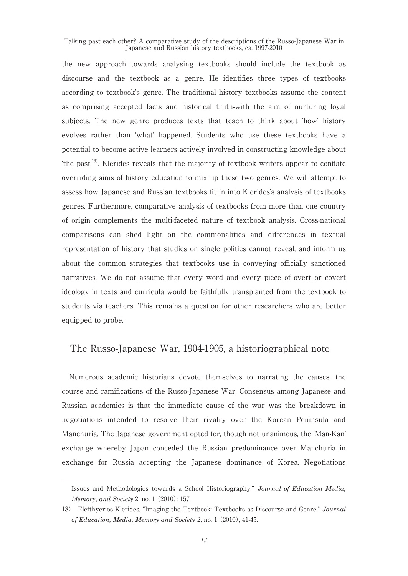the new approach towards analysing textbooks should include the textbook as discourse and the textbook as a genre. He identifies three types of textbooks according to textbook's genre. The traditional history textbooks assume the content as comprising accepted facts and historical truth-with the aim of nurturing loyal subjects. The new genre produces texts that teach to think about 'how' history evolves rather than 'what' happened. Students who use these textbooks have a potential to become active learners actively involved in constructing knowledge about the past<sup>18)</sup>. Klerides reveals that the majority of textbook writers appear to conflate overriding aims of history education to mix up these two genres. We will attempt to assess how Japanese and Russian textbooks fit in into Klerides's analysis of textbooks genres. Furthermore, comparative analysis of textbooks from more than one country of origin complements the multi-faceted nature of textbook analysis. Cross-national comparisons can shed light on the commonalities and differences in textual representation of history that studies on single polities cannot reveal, and inform us about the common strategies that textbooks use in conveying officially sanctioned narratives. We do not assume that every word and every piece of overt or covert ideology in texts and curricula would be faithfully transplanted from the textbook to students via teachers. This remains a question for other researchers who are better equipped to probe.

## The Russo-Japanese War, 1904-1905, a historiographical note

Numerous academic historians devote themselves to narrating the causes, the course and ramifications of the Russo-Japanese War. Consensus among Japanese and Russian academics is that the immediate cause of the war was the breakdown in negotiations intended to resolve their rivalry over the Korean Peninsula and Manchuria. The Japanese government opted for, though not unanimous, the 'Man-Kan' exchange whereby Japan conceded the Russian predominance over Manchuria in exchange for Russia accepting the Japanese dominance of Korea. Negotiations

Issues and Methodologies towards a School Historiography," *Journal of Education Media, Memory, and Society* 2, no. 1 (2010): 157.

<sup>18)</sup> Elefthyerios Klerides, "Imaging the Textbook: Textbooks as Discourse and Genre," *Journal of Education, Media, Memory and Society* 2, no. 1 (2010), 41-45.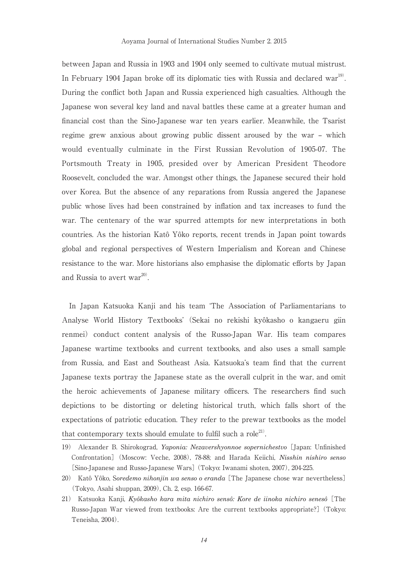between Japan and Russia in 1903 and 1904 only seemed to cultivate mutual mistrust. In February 1904 Japan broke off its diplomatic ties with Russia and declared war<sup>19)</sup>. During the conflict both Japan and Russia experienced high casualties. Although the Japanese won several key land and naval battles these came at a greater human and financial cost than the Sino-Japanese war ten years earlier. Meanwhile, the Tsarist regime grew anxious about growing public dissent aroused by the war – which would eventually culminate in the First Russian Revolution of 1905-07. The Portsmouth Treaty in 1905, presided over by American President Theodore Roosevelt, concluded the war. Amongst other things, the Japanese secured their hold over Korea. But the absence of any reparations from Russia angered the Japanese public whose lives had been constrained by inflation and tax increases to fund the war. The centenary of the war spurred attempts for new interpretations in both countries. As the historian Katô Yôko reports, recent trends in Japan point towards global and regional perspectives of Western Imperialism and Korean and Chinese resistance to the war. More historians also emphasise the diplomatic efforts by Japan and Russia to avert war $^{20}$ .

In Japan Katsuoka Kanji and his team 'The Association of Parliamentarians to Analyse World History Textbooks' (Sekai no rekishi kyôkasho o kangaeru giin renmei) conduct content analysis of the Russo-Japan War. His team compares Japanese wartime textbooks and current textbooks, and also uses a small sample from Russia, and East and Southeast Asia. Katsuoka's team find that the current Japanese texts portray the Japanese state as the overall culprit in the war, and omit the heroic achievements of Japanese military officers. The researchers find such depictions to be distorting or deleting historical truth, which falls short of the expectations of patriotic education. They refer to the prewar textbooks as the model that contemporary texts should emulate to fulfil such a role<sup>21)</sup>.

<sup>19)</sup> Alexander B. Shirokograd, *Yaponia: Nezavershyonnoe sopernichestvo* [Japan: Unfinished Confrontation] (Moscow: Veche, 2008), 78-88; and Harada Keiichi, *Nisshin nishiro senso*  [Sino-Japanese and Russo-Japanese Wars] (Tokyo: Iwanami shoten, 2007), 204-225.

<sup>20)</sup> Katô Yôko, S*oredemo nihonjin wa senso o eranda* [The Japanese chose war nevertheless] (Tokyo, Asahi shuppan, 2009), Ch. 2, esp. 166-67.

<sup>21)</sup> Katsuoka Kanji, *Kyôkasho kara mita nichiro sensô: Kore de iinoka nichiro senesô* [The Russo-Japan War viewed from textbooks: Are the current textbooks appropriate?] (Tokyo: Teneisha, 2004).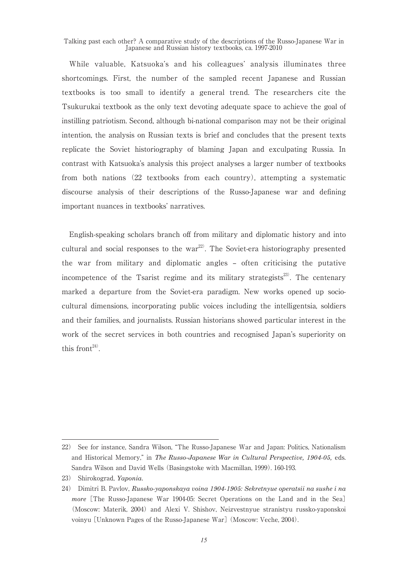While valuable, Katsuoka's and his colleagues' analysis illuminates three shortcomings. First, the number of the sampled recent Japanese and Russian textbooks is too small to identify a general trend. The researchers cite the Tsukurukai textbook as the only text devoting adequate space to achieve the goal of instilling patriotism. Second, although bi-national comparison may not be their original intention, the analysis on Russian texts is brief and concludes that the present texts replicate the Soviet historiography of blaming Japan and exculpating Russia. In contrast with Katsuoka's analysis this project analyses a larger number of textbooks from both nations (22 textbooks from each country), attempting a systematic discourse analysis of their descriptions of the Russo-Japanese war and defining important nuances in textbooks' narratives.

English-speaking scholars branch off from military and diplomatic history and into cultural and social responses to the war<sup>22</sup>. The Soviet-era historiography presented the war from military and diplomatic angles – often criticising the putative incompetence of the Tsarist regime and its military strategists<sup>23)</sup>. The centenary marked a departure from the Soviet-era paradigm. New works opened up sociocultural dimensions, incorporating public voices including the intelligentsia, soldiers and their families, and journalists. Russian historians showed particular interest in the work of the secret services in both countries and recognised Japan's superiority on this front<sup>24)</sup>.

<sup>22)</sup> See for instance, Sandra Wilson, "The Russo-Japanese War and Japan: Politics, Nationalism and Historical Memory," in *The Russo-Japanese War in Cultural Perspective, 1904-05,* eds. Sandra Wilson and David Wells (Basingstoke with Macmillan, 1999). 160-193.

<sup>23)</sup> Shirokograd, *Yaponia.*

<sup>24)</sup> Dimitri B. Pavlov, *Russko-yaponskaya voina 1904-1905: Sekretnyue operatsii na sushe i na more* [The Russo-Japanese War 1904-05: Secret Operations on the Land and in the Sea] (Moscow: Materik, 2004) and Alexi V. Shishov, Neizvestnyue stranistyu russko-yaponskoi voinyu [Unknown Pages of the Russo-Japanese War] (Moscow: Veche, 2004).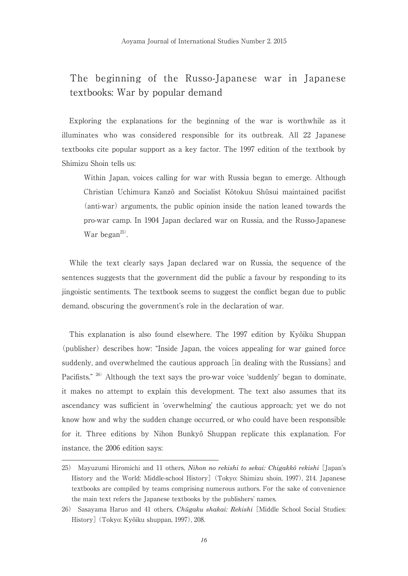## The beginning of the Russo-Japanese war in Japanese textbooks: War by popular demand

Exploring the explanations for the beginning of the war is worthwhile as it illuminates who was considered responsible for its outbreak. All 22 Japanese textbooks cite popular support as a key factor. The 1997 edition of the textbook by Shimizu Shoin tells us:

Within Japan, voices calling for war with Russia began to emerge. Although Christian Uchimura Kanzô and Socialist Kôtokuu Shûsui maintained pacifist (anti-war) arguments, the public opinion inside the nation leaned towards the pro-war camp. In 1904 Japan declared war on Russia, and the Russo-Japanese War began<sup>25)</sup>.

While the text clearly says Japan declared war on Russia, the sequence of the sentences suggests that the government did the public a favour by responding to its jingoistic sentiments. The textbook seems to suggest the conflict began due to public demand, obscuring the government's role in the declaration of war.

This explanation is also found elsewhere. The 1997 edition by Kyôiku Shuppan (publisher) describes how: "Inside Japan, the voices appealing for war gained force suddenly, and overwhelmed the cautious approach [in dealing with the Russians] and Pacifists." <sup>26)</sup> Although the text says the pro-war voice 'suddenly' began to dominate, it makes no attempt to explain this development. The text also assumes that its ascendancy was sufficient in 'overwhelming' the cautious approach; yet we do not know how and why the sudden change occurred, or who could have been responsible for it. Three editions by Nihon Bunkyô Shuppan replicate this explanation. For instance, the 2006 edition says:

<sup>25)</sup> Mayuzumi Hiromichi and 11 others, *Nihon no rekishi to sekai: Chigakkô rekishi* [Japan's History and the World: Middle-school History] (Tokyo: Shimizu shoin, 1997), 214. Japanese textbooks are compiled by teams comprising numerous authors. For the sake of convenience the main text refers the Japanese textbooks by the publishers' names.

<sup>26)</sup> Sasayama Haruo and 41 others, *Chûgaku shakai: Rekishi* [Middle School Social Studies: History] (Tokyo: Kyôiku shuppan, 1997), 208.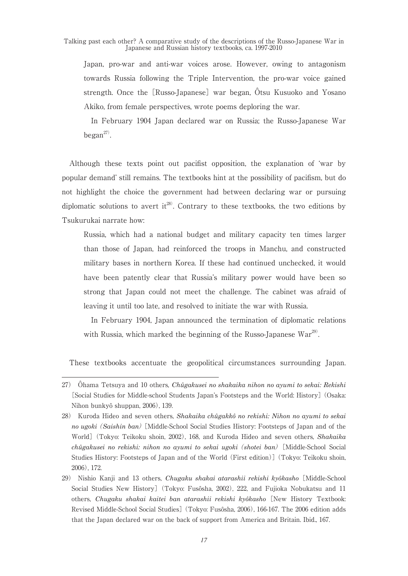Japan, pro-war and anti-war voices arose. However, owing to antagonism towards Russia following the Triple Intervention, the pro-war voice gained strength. Once the [Russo-Japanese] war began, Ôtsu Kusuoko and Yosano Akiko, from female perspectives, wrote poems deploring the war.

 In February 1904 Japan declared war on Russia; the Russo-Japanese War began $^{27)}$ .

Although these texts point out pacifist opposition, the explanation of 'war by popular demand' still remains. The textbooks hint at the possibility of pacifism, but do not highlight the choice the government had between declaring war or pursuing diplomatic solutions to avert it<sup>28)</sup>. Contrary to these textbooks, the two editions by Tsukurukai narrate how:

Russia, which had a national budget and military capacity ten times larger than those of Japan, had reinforced the troops in Manchu, and constructed military bases in northern Korea. If these had continued unchecked, it would have been patently clear that Russia's military power would have been so strong that Japan could not meet the challenge. The cabinet was afraid of leaving it until too late, and resolved to initiate the war with Russia.

 In February 1904, Japan announced the termination of diplomatic relations with Russia, which marked the beginning of the Russo-Japanese War<sup>29)</sup>.

These textbooks accentuate the geopolitical circumstances surrounding Japan.

<sup>27)</sup> Ôhama Tetsuya and 10 others, *Chûgakusei no shakaika nihon no ayumi to sekai: Rekishi*  [Social Studies for Middle-school Students Japan's Footsteps and the World: History] (Osaka: Nihon bunkyô shuppan, 2006), 139.

<sup>28)</sup> Kuroda Hideo and seven others, *Shakaika chûgakkô no rekishi: Nihon no ayumi to sekai no ugoki* (*Saishin ban*)[Middle-School Social Studies History: Footsteps of Japan and of the World] (Tokyo: Teikoku shoin, 2002), 168, and Kuroda Hideo and seven others, *Shakaika chûgakusei no rekishi: nihon no ayumi to sekai ugoki* (*shotei ban*) [Middle-School Social Studies History: Footsteps of Japan and of the World (First edition)] (Tokyo: Teikoku shoin, 2006), 172.

<sup>29)</sup> Nishio Kanji and 13 others, *Chugaku shakai atarashii rekishi kyôkasho* [Middle-School Social Studies New History] (Tokyo: Fusôsha, 2002), 222, and Fujioka Nobukatsu and 11 others, *Chugaku shakai kaitei ban atarashii rekishi kyôkasho* [New History Textbook: Revised Middle-School Social Studies] (Tokyo: Fusôsha, 2006), 166-167. The 2006 edition adds that the Japan declared war on the back of support from America and Britain. Ibid., 167.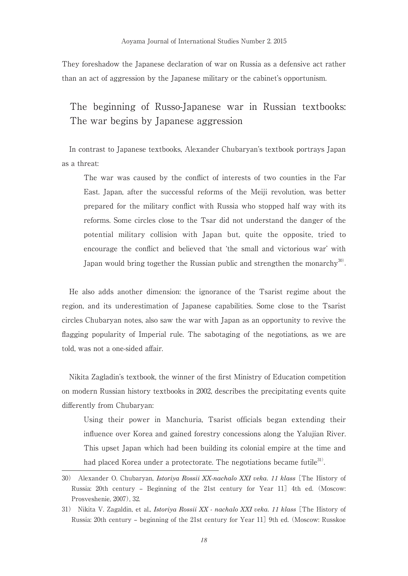They foreshadow the Japanese declaration of war on Russia as a defensive act rather than an act of aggression by the Japanese military or the cabinet's opportunism.

## The beginning of Russo-Japanese war in Russian textbooks: The war begins by Japanese aggression

In contrast to Japanese textbooks, Alexander Chubaryan's textbook portrays Japan as a threat:

The war was caused by the conflict of interests of two counties in the Far East. Japan, after the successful reforms of the Meiji revolution, was better prepared for the military conflict with Russia who stopped half way with its reforms. Some circles close to the Tsar did not understand the danger of the potential military collision with Japan but, quite the opposite, tried to encourage the conflict and believed that 'the small and victorious war' with Japan would bring together the Russian public and strengthen the monarchy<sup>30)</sup>.

He also adds another dimension: the ignorance of the Tsarist regime about the region, and its underestimation of Japanese capabilities. Some close to the Tsarist circles Chubaryan notes, also saw the war with Japan as an opportunity to revive the flagging popularity of Imperial rule. The sabotaging of the negotiations, as we are told, was not a one-sided affair.

Nikita Zagladin's textbook, the winner of the first Ministry of Education competition on modern Russian history textbooks in 2002, describes the precipitating events quite differently from Chubaryan:

Using their power in Manchuria, Tsarist officials began extending their influence over Korea and gained forestry concessions along the Yalujian River. This upset Japan which had been building its colonial empire at the time and had placed Korea under a protectorate. The negotiations became futile<sup>31</sup>.

<sup>30)</sup> Alexander O. Chubaryan, *Istoriya Rossii XX-nachalo XXI veka. 11 klass* [The History of Russia: 20th century – Beginning of the 21st century for Year 11] 4th ed. (Moscow: Prosveshenie, 2007), 32.

<sup>31)</sup> Nikita V. Zagaldin, et al., *Istoriya Rossii XX - nachalo XXI veka. 11 klass* [The History of Russia: 20th century – beginning of the 21st century for Year 11] 9th ed. (Moscow: Russkoe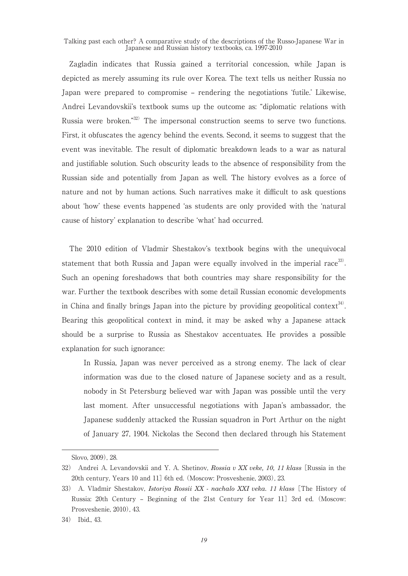Zagladin indicates that Russia gained a territorial concession, while Japan is depicted as merely assuming its rule over Korea. The text tells us neither Russia no Japan were prepared to compromise – rendering the negotiations 'futile.' Likewise, Andrei Levandovskii's textbook sums up the outcome as: "diplomatic relations with Russia were broken."32) The impersonal construction seems to serve two functions. First, it obfuscates the agency behind the events. Second, it seems to suggest that the event was inevitable. The result of diplomatic breakdown leads to a war as natural and justifiable solution. Such obscurity leads to the absence of responsibility from the Russian side and potentially from Japan as well. The history evolves as a force of nature and not by human actions. Such narratives make it difficult to ask questions about 'how' these events happened 'as students are only provided with the 'natural cause of history' explanation to describe 'what' had occurred.

The 2010 edition of Vladmir Shestakov's textbook begins with the unequivocal statement that both Russia and Japan were equally involved in the imperial race $^{33}$ . Such an opening foreshadows that both countries may share responsibility for the war. Further the textbook describes with some detail Russian economic developments in China and finally brings Japan into the picture by providing geopolitical context<sup>34)</sup>. Bearing this geopolitical context in mind, it may be asked why a Japanese attack should be a surprise to Russia as Shestakov accentuates. He provides a possible explanation for such ignorance:

In Russia, Japan was never perceived as a strong enemy. The lack of clear information was due to the closed nature of Japanese society and as a result, nobody in St Petersburg believed war with Japan was possible until the very last moment. After unsuccessful negotiations with Japan's ambassador, the Japanese suddenly attacked the Russian squadron in Port Arthur on the night of January 27, 1904. Nickolas the Second then declared through his Statement

Slovo, 2009), 28.

<sup>32)</sup> Andrei A. Levandovskii and Y. A. Shetinov, *Rossia v XX veke, 10, 11 klass* [Russia in the 20th century, Years 10 and 11] 6th ed. (Moscow: Prosveshenie, 2003), 23.

<sup>33)</sup> A. Vladmir Shestakov, *Istoriya Rossii XX - nachalo XXI veka. 11 klass* [The History of Russia: 20th Century – Beginning of the 21st Century for Year 11] 3rd ed. (Moscow: Prosveshenie, 2010), 43.

<sup>34)</sup> Ibid., 43.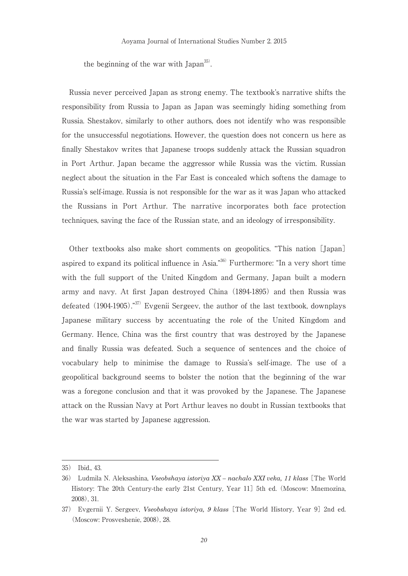the beginning of the war with Japan<sup>35</sup>.

Russia never perceived Japan as strong enemy. The textbook's narrative shifts the responsibility from Russia to Japan as Japan was seemingly hiding something from Russia. Shestakov, similarly to other authors, does not identify who was responsible for the unsuccessful negotiations. However, the question does not concern us here as finally Shestakov writes that Japanese troops suddenly attack the Russian squadron in Port Arthur. Japan became the aggressor while Russia was the victim. Russian neglect about the situation in the Far East is concealed which softens the damage to Russia's self-image. Russia is not responsible for the war as it was Japan who attacked the Russians in Port Arthur. The narrative incorporates both face protection techniques, saving the face of the Russian state, and an ideology of irresponsibility.

Other textbooks also make short comments on geopolitics. "This nation [Japan] aspired to expand its political influence in Asia."36) Furthermore: "In a very short time with the full support of the United Kingdom and Germany, Japan built a modern army and navy. At first Japan destroyed China (1894-1895) and then Russia was defeated  $(1904-1905)$ ."<sup>37)</sup> Evgenii Sergeev, the author of the last textbook, downplays Japanese military success by accentuating the role of the United Kingdom and Germany. Hence, China was the first country that was destroyed by the Japanese and finally Russia was defeated. Such a sequence of sentences and the choice of vocabulary help to minimise the damage to Russia's self-image. The use of a geopolitical background seems to bolster the notion that the beginning of the war was a foregone conclusion and that it was provoked by the Japanese. The Japanese attack on the Russian Navy at Port Arthur leaves no doubt in Russian textbooks that the war was started by Japanese aggression.

<sup>35)</sup> Ibid., 43.

<sup>36)</sup> Ludmila N. Aleksashina, *Vseobshaya istoriya XX – nachalo XXI veka, 11 klass* [The World History: The 20th Century-the early 21st Century, Year 11] 5th ed. (Moscow: Mnemozina, 2008), 31.

<sup>37)</sup> Evgernii Y. Sergeev, *Vseobshaya istoriya, 9 klass* [The World History, Year 9] 2nd ed. (Moscow: Prosveshenie, 2008), 28.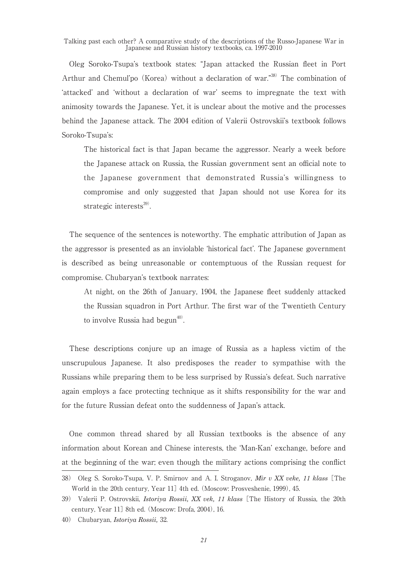Oleg Soroko-Tsupa's textbook states: "Japan attacked the Russian fleet in Port Arthur and Chemul'po (Korea) without a declaration of war."<sup>38)</sup> The combination of 'attacked' and 'without a declaration of war' seems to impregnate the text with animosity towards the Japanese. Yet, it is unclear about the motive and the processes behind the Japanese attack. The 2004 edition of Valerii Ostrovskii's textbook follows Soroko-Tsupa's:

The historical fact is that Japan became the aggressor. Nearly a week before the Japanese attack on Russia, the Russian government sent an official note to the Japanese government that demonstrated Russia's willingness to compromise and only suggested that Japan should not use Korea for its strategic interests $^{39}$ .

The sequence of the sentences is noteworthy. The emphatic attribution of Japan as the aggressor is presented as an inviolable 'historical fact'. The Japanese government is described as being unreasonable or contemptuous of the Russian request for compromise. Chubaryan's textbook narrates:

At night, on the 26th of January, 1904, the Japanese fleet suddenly attacked the Russian squadron in Port Arthur. The first war of the Twentieth Century to involve Russia had begun $40$ .

These descriptions conjure up an image of Russia as a hapless victim of the unscrupulous Japanese. It also predisposes the reader to sympathise with the Russians while preparing them to be less surprised by Russia's defeat. Such narrative again employs a face protecting technique as it shifts responsibility for the war and for the future Russian defeat onto the suddenness of Japan's attack.

One common thread shared by all Russian textbooks is the absence of any information about Korean and Chinese interests, the 'Man-Kan' exchange, before and at the beginning of the war; even though the military actions comprising the conflict

<sup>38)</sup> Oleg S. Soroko-Tsupa, V. P. Smirnov and A. I. Stroganov, *Mir v XX veke, 11 klass* [The World in the 20th century, Year 11] 4th ed. (Moscow: Prosveshenie, 1999), 45.

<sup>39)</sup> Valerii P. Ostrovskii, *Istoriya Rossii, XX vek, 11 klass* [The History of Russia, the 20th century, Year 11] 8th ed. (Moscow: Drofa, 2004), 16.

<sup>40)</sup> Chubaryan, *Istoriya Rossii,* 32.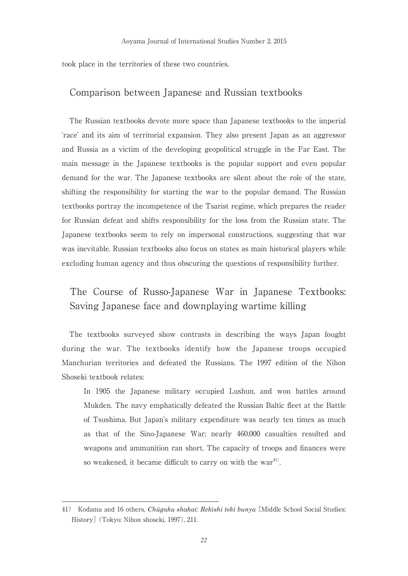took place in the territories of these two countries.

#### Comparison between Japanese and Russian textbooks

The Russian textbooks devote more space than Japanese textbooks to the imperial 'race' and its aim of territorial expansion. They also present Japan as an aggressor and Russia as a victim of the developing geopolitical struggle in the Far East. The main message in the Japanese textbooks is the popular support and even popular demand for the war. The Japanese textbooks are silent about the role of the state, shifting the responsibility for starting the war to the popular demand. The Russian textbooks portray the incompetence of the Tsarist regime, which prepares the reader for Russian defeat and shifts responsibility for the loss from the Russian state. The Japanese textbooks seem to rely on impersonal constructions, suggesting that war was inevitable. Russian textbooks also focus on states as main historical players while excluding human agency and thus obscuring the questions of responsibility further.

## The Course of Russo-Japanese War in Japanese Textbooks: Saving Japanese face and downplaying wartime killing

The textbooks surveyed show contrasts in describing the ways Japan fought during the war. The textbooks identify how the Japanese troops occupied Manchurian territories and defeated the Russians. The 1997 edition of the Nihon Shoseki textbook relates:

In 1905 the Japanese military occupied Lushun, and won battles around Mukden. The navy emphatically defeated the Russian Baltic fleet at the Battle of Tsushima. But Japan's military expenditure was nearly ten times as much as that of the Sino-Japanese War; nearly 460,000 casualties resulted and weapons and ammunition ran short. The capacity of troops and finances were so weakened, it became difficult to carry on with the war $41$ .

<sup>41)</sup> Kodama and 16 others, *Chûgaku shakai: Rekishi teki bunya* [Middle School Social Studies: History] (Tokyo: Nihon shoseki, 1997), 211.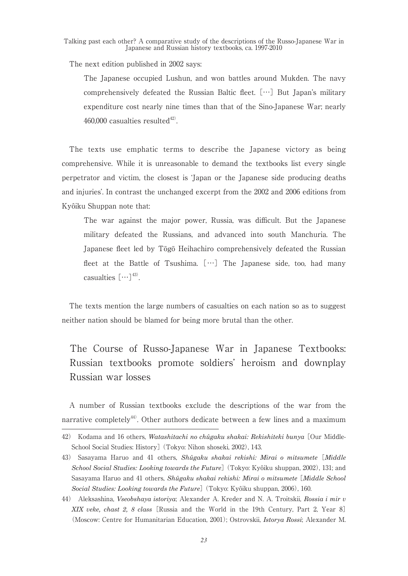The next edition published in 2002 says:

The Japanese occupied Lushun, and won battles around Mukden. The navy comprehensively defeated the Russian Baltic fleet. […] But Japan's military expenditure cost nearly nine times than that of the Sino-Japanese War; nearly 460,000 casualties resulted $42$ .

The texts use emphatic terms to describe the Japanese victory as being comprehensive. While it is unreasonable to demand the textbooks list every single perpetrator and victim, the closest is 'Japan or the Japanese side producing deaths and injuries'. In contrast the unchanged excerpt from the 2002 and 2006 editions from Kyôiku Shuppan note that:

The war against the major power, Russia, was difficult. But the Japanese military defeated the Russians, and advanced into south Manchuria. The Japanese fleet led by Tōgō Heihachiro comprehensively defeated the Russian fleet at the Battle of Tsushima.  $[\cdots]$  The Japanese side, too, had many casualties  $[\cdots]^{43}$ .

The texts mention the large numbers of casualties on each nation so as to suggest neither nation should be blamed for being more brutal than the other.

# The Course of Russo-Japanese War in Japanese Textbooks: Russian textbooks promote soldiers' heroism and downplay Russian war losses

A number of Russian textbooks exclude the descriptions of the war from the narrative completely $44$ . Other authors dedicate between a few lines and a maximum

<sup>42)</sup> Kodama and 16 others, *Watashitachi no chûgaku shakai: Rekishiteki bunya* [Our Middle-School Social Studies: History] (Tokyo: Nihon shoseki, 2002), 143.

<sup>43)</sup> Sasayama Haruo and 41 others, *Shûgaku shakai rekishi: Mirai o mitsumete* [*Middle School Social Studies: Looking towards the Future*] (Tokyo: Kyôiku shuppan, 2002), 131; and Sasayama Haruo and 41 others, *Shûgaku shakai rekishi: Mirai o mitsumete* [*Middle School Social Studies: Looking towards the Future*] (Tokyo: Kyôiku shuppan, 2006), 160.

<sup>44)</sup> Aleksashina, *Vseobshaya istoriya*; Alexander A. Kreder and N. A. Troitskii, *Rossia i mir v XIX veke, chast 2, 8 class* [Russia and the World in the 19th Century, Part 2, Year 8] (Moscow: Centre for Humanitarian Education, 2001); Ostrovskii, *Istorya Rossi*; Alexander M.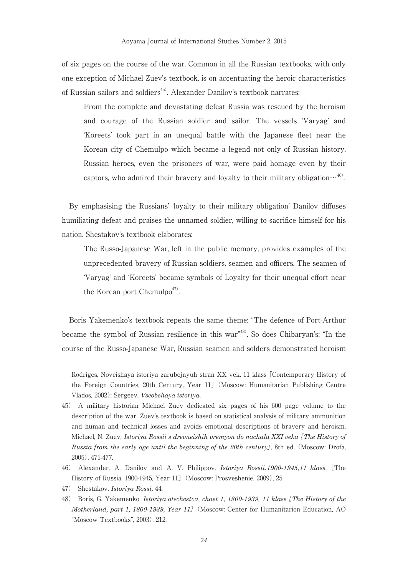of six pages on the course of the war. Common in all the Russian textbooks, with only one exception of Michael Zuev's textbook, is on accentuating the heroic characteristics of Russian sailors and soldiers<sup>45)</sup>. Alexander Danilov's textbook narrates:

From the complete and devastating defeat Russia was rescued by the heroism and courage of the Russian soldier and sailor. The vessels 'Varyag' and 'Koreets' took part in an unequal battle with the Japanese fleet near the Korean city of Chemulpo which became a legend not only of Russian history. Russian heroes, even the prisoners of war, were paid homage even by their captors, who admired their bravery and loyalty to their military obligation $\cdots^{46}$ .

By emphasising the Russians' 'loyalty to their military obligation' Danilov diffuses humiliating defeat and praises the unnamed soldier, willing to sacrifice himself for his nation. Shestakov's textbook elaborates:

The Russo-Japanese War, left in the public memory, provides examples of the unprecedented bravery of Russian soldiers, seamen and officers. The seamen of 'Varyag' and 'Koreets' became symbols of Loyalty for their unequal effort near the Korean port Chemulpo<sup>47)</sup>.

Boris Yakemenko's textbook repeats the same theme: "The defence of Port-Arthur became the symbol of Russian resilience in this war"48). So does Chibaryan's: "In the course of the Russo-Japanese War, Russian seamen and solders demonstrated heroism

47) Shestakov, *Istoriya Rossi,* 44.

Rodriges, Noveishaya istoriya zarubejnyuh stran XX vek, 11 klass [Contemporary History of the Foreign Countries, 20th Century, Year 11] (Moscow: Humanitarian Publishing Centre Vlados, 2002); Sergeev, *Vseobshaya istoriya.*

<sup>45)</sup> A military historian Michael Zuev dedicated six pages of his 600 page volume to the description of the war. Zuev's textbook is based on statistical analysis of military ammunition and human and technical losses and avoids emotional descriptions of bravery and heroism. Michael, N. Zuev, *Istoriya Rossii s drevneishih vremyon do nachala XXI veka* [*The History of Russia from the early age until the beginning of the 20th century*], 8th ed. (Moscow: Drofa, 2005), 471-477.

<sup>46)</sup> Alexander, A. Danilov and A. V. Philippov, *Istoriya Rossii.1900-1945,11 klass.* [The History of Russia. 1900-1945, Year 11](Moscow: Prosveshenie, 2009), 25.

<sup>48)</sup> Boris, G. Yakemenko, *Istoriya otechestva, chast 1, 1800-1939, 11 klass* [*The History of the Motherland, part 1, 1800-1939, Year 11*](Moscow: Center for Humanitarion Education, AO "Moscow Textbooks", 2003), 212.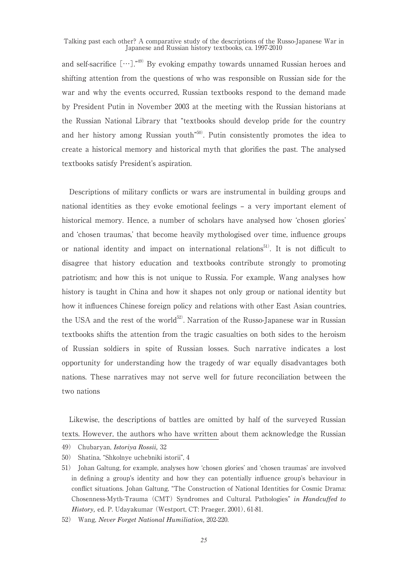and self-sacrifice  $[\cdots]$ ."<sup>49)</sup> By evoking empathy towards unnamed Russian heroes and shifting attention from the questions of who was responsible on Russian side for the war and why the events occurred, Russian textbooks respond to the demand made by President Putin in November 2003 at the meeting with the Russian historians at the Russian National Library that "textbooks should develop pride for the country and her history among Russian youth"50). Putin consistently promotes the idea to create a historical memory and historical myth that glorifies the past. The analysed textbooks satisfy President's aspiration.

Descriptions of military conflicts or wars are instrumental in building groups and national identities as they evoke emotional feelings – a very important element of historical memory. Hence, a number of scholars have analysed how 'chosen glories' and 'chosen traumas,' that become heavily mythologised over time, influence groups or national identity and impact on international relations<sup>51</sup>. It is not difficult to disagree that history education and textbooks contribute strongly to promoting patriotism; and how this is not unique to Russia. For example, Wang analyses how history is taught in China and how it shapes not only group or national identity but how it influences Chinese foreign policy and relations with other East Asian countries, the USA and the rest of the world<sup>52)</sup>. Narration of the Russo-Japanese war in Russian textbooks shifts the attention from the tragic casualties on both sides to the heroism of Russian soldiers in spite of Russian losses. Such narrative indicates a lost opportunity for understanding how the tragedy of war equally disadvantages both nations. These narratives may not serve well for future reconciliation between the two nations

Likewise, the descriptions of battles are omitted by half of the surveyed Russian texts. However, the authors who have written about them acknowledge the Russian

<sup>49)</sup> Chubaryan, *Istoriya Rossii,* 32

<sup>50)</sup> Shatina, "Shkolnye uchebniki istorii", 4

<sup>51)</sup> Johan Galtung, for example, analyses how 'chosen glories' and 'chosen traumas' are involved in defining a group's identity and how they can potentially influence group's behaviour in conflict situations. Johan Galtung, "The Construction of National Identities for Cosmic Drama: Chosenness-Myth-Trauma (CMT) Syndromes and Cultural. Pathologies" *in Handcuffed to History,* ed. P. Udayakumar (Westport, CT: Praeger, 2001), 61-81.

<sup>52)</sup> Wang, *Never Forget National Humiliation,* 202-220.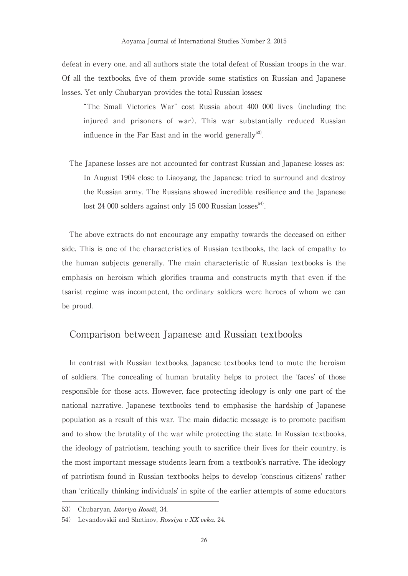defeat in every one, and all authors state the total defeat of Russian troops in the war. Of all the textbooks, five of them provide some statistics on Russian and Japanese losses. Yet only Chubaryan provides the total Russian losses:

"The Small Victories War" cost Russia about 400 000 lives (including the injured and prisoners of war). This war substantially reduced Russian influence in the Far East and in the world generally $53$ .

The Japanese losses are not accounted for contrast Russian and Japanese losses as: In August 1904 close to Liaoyang, the Japanese tried to surround and destroy the Russian army. The Russians showed incredible resilience and the Japanese lost 24 000 solders against only 15 000 Russian losses<sup>54)</sup>.

The above extracts do not encourage any empathy towards the deceased on either side. This is one of the characteristics of Russian textbooks, the lack of empathy to the human subjects generally. The main characteristic of Russian textbooks is the emphasis on heroism which glorifies trauma and constructs myth that even if the tsarist regime was incompetent, the ordinary soldiers were heroes of whom we can be proud.

#### Comparison between Japanese and Russian textbooks

In contrast with Russian textbooks, Japanese textbooks tend to mute the heroism of soldiers. The concealing of human brutality helps to protect the 'faces' of those responsible for those acts. However, face protecting ideology is only one part of the national narrative. Japanese textbooks tend to emphasise the hardship of Japanese population as a result of this war. The main didactic message is to promote pacifism and to show the brutality of the war while protecting the state. In Russian textbooks, the ideology of patriotism, teaching youth to sacrifice their lives for their country, is the most important message students learn from a textbook's narrative. The ideology of patriotism found in Russian textbooks helps to develop 'conscious citizens' rather than 'critically thinking individuals' in spite of the earlier attempts of some educators

<sup>53)</sup> Chubaryan, *Istoriya Rossii,* 34.

<sup>54)</sup> Levandovskii and Shetinov, *Rossiya v XX veka.* 24.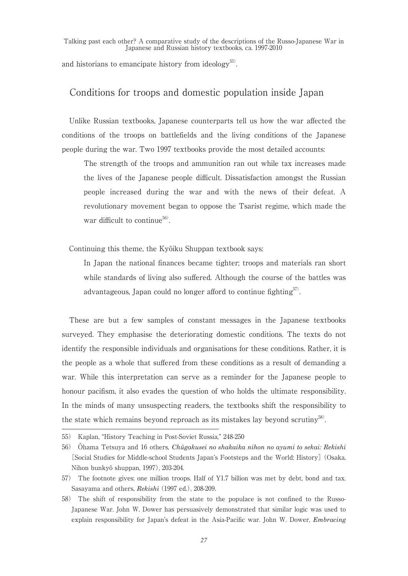and historians to emancipate history from ideology<sup>55)</sup>.

#### Conditions for troops and domestic population inside Japan

Unlike Russian textbooks, Japanese counterparts tell us how the war affected the conditions of the troops on battlefields and the living conditions of the Japanese people during the war. Two 1997 textbooks provide the most detailed accounts:

The strength of the troops and ammunition ran out while tax increases made the lives of the Japanese people difficult. Dissatisfaction amongst the Russian people increased during the war and with the news of their defeat. A revolutionary movement began to oppose the Tsarist regime, which made the war difficult to continue<sup>56)</sup>.

Continuing this theme, the Kyôiku Shuppan textbook says:

In Japan the national finances became tighter; troops and materials ran short while standards of living also suffered. Although the course of the battles was advantageous, Japan could no longer afford to continue fighting<sup>57</sup>.

These are but a few samples of constant messages in the Japanese textbooks surveyed. They emphasise the deteriorating domestic conditions. The texts do not identify the responsible individuals and organisations for these conditions. Rather, it is the people as a whole that suffered from these conditions as a result of demanding a war. While this interpretation can serve as a reminder for the Japanese people to honour pacifism, it also evades the question of who holds the ultimate responsibility. In the minds of many unsuspecting readers, the textbooks shift the responsibility to the state which remains beyond reproach as its mistakes lay beyond scrutiny $58$ .

<sup>55)</sup> Kaplan, "History Teaching in Post-Soviet Russia," 248-250

<sup>56)</sup> Ôhama Tetsuya and 16 others, *Chûgakusei no shakaika nihon no ayumi to sekai: Rekishi*  [Social Studies for Middle-school Students Japan's Footsteps and the World: History] (Osaka, Nihon bunkyô shuppan, 1997), 203-204.

<sup>57)</sup> The footnote gives: one million troops. Half of Y1.7 billion was met by debt, bond and tax. Sasayama and others, *Rekishi* (1997 ed.), 208-209.

<sup>58)</sup> The shift of responsibility from the state to the populace is not confined to the Russo-Japanese War. John W. Dower has persuasively demonstrated that similar logic was used to explain responsibility for Japan's defeat in the Asia-Pacific war. John W. Dower, *Embracing*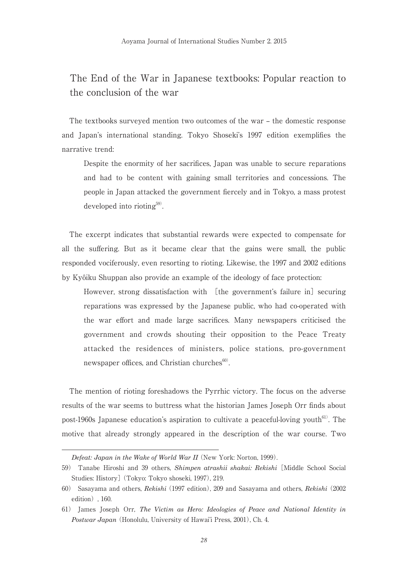## The End of the War in Japanese textbooks: Popular reaction to the conclusion of the war

The textbooks surveyed mention two outcomes of the war – the domestic response and Japan's international standing. Tokyo Shoseki's 1997 edition exemplifies the narrative trend:

Despite the enormity of her sacrifices, Japan was unable to secure reparations and had to be content with gaining small territories and concessions. The people in Japan attacked the government fiercely and in Tokyo, a mass protest developed into rioting<sup>59)</sup>.

The excerpt indicates that substantial rewards were expected to compensate for all the suffering. But as it became clear that the gains were small, the public responded vociferously, even resorting to rioting. Likewise, the 1997 and 2002 editions by Kyôiku Shuppan also provide an example of the ideology of face protection:

However, strong dissatisfaction with [the government's failure in] securing reparations was expressed by the Japanese public, who had co-operated with the war effort and made large sacrifices. Many newspapers criticised the government and crowds shouting their opposition to the Peace Treaty attacked the residences of ministers, police stations, pro-government newspaper offices, and Christian churches<sup>60)</sup>.

The mention of rioting foreshadows the Pyrrhic victory. The focus on the adverse results of the war seems to buttress what the historian James Joseph Orr finds about post-1960s Japanese education's aspiration to cultivate a peaceful-loving youth<sup>61)</sup>. The motive that already strongly appeared in the description of the war course. Two

*Defeat: Japan in the Wake of World War II* (New York: Norton, 1999).

<sup>59)</sup> Tanabe Hiroshi and 39 others, *Shimpen atrashii shakai: Rekishi* [Middle School Social Studies: History] (Tokyo: Tokyo shoseki, 1997), 219.

<sup>60)</sup> Sasayama and others, *Rekishi* (1997 edition), 209 and Sasayama and others, *Rekishi* (2002 edition), 160.

<sup>61)</sup> James Joseph Orr, *The Victim as Hero: Ideologies of Peace and National Identity in Postwar Japan* (Honolulu, University of Hawai'i Press, 2001), Ch. 4.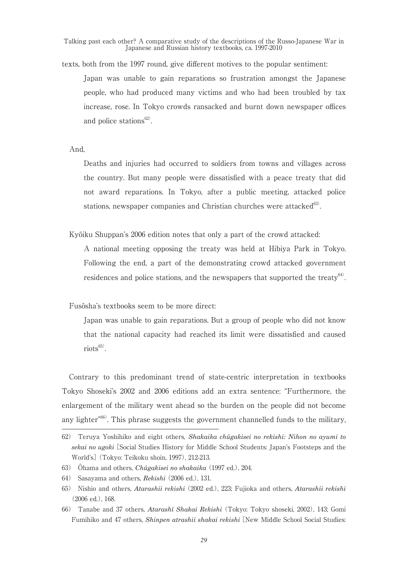texts, both from the 1997 round, give different motives to the popular sentiment:

Japan was unable to gain reparations so frustration amongst the Japanese people, who had produced many victims and who had been troubled by tax increase, rose. In Tokyo crowds ransacked and burnt down newspaper offices and police stations $62$ .

And,

Deaths and injuries had occurred to soldiers from towns and villages across the country. But many people were dissatisfied with a peace treaty that did not award reparations. In Tokyo, after a public meeting, attacked police stations, newspaper companies and Christian churches were attacked $^{63}$ .

Kyôiku Shuppan's 2006 edition notes that only a part of the crowd attacked:

A national meeting opposing the treaty was held at Hibiya Park in Tokyo. Following the end, a part of the demonstrating crowd attacked government residences and police stations, and the newspapers that supported the treaty $64$ .

Fusôsha's textbooks seem to be more direct:

Japan was unable to gain reparations. But a group of people who did not know that the national capacity had reached its limit were dissatisfied and caused  $\text{riots}^{\text{65}}$ .

Contrary to this predominant trend of state-centric interpretation in textbooks Tokyo Shoseki's 2002 and 2006 editions add an extra sentence: "Furthermore, the enlargement of the military went ahead so the burden on the people did not become any lighter"66). This phrase suggests the government channelled funds to the military,

<sup>62)</sup> Teruya Yoshihiko and eight others, *Shakaika chûgakisei no rekishi: Nihon no ayumi to sekai no ugoki* [Social Studies History for Middle School Students: Japan's Footsteps and the World's] (Tokyo: Teikoku shoin, 1997), 212-213.

<sup>63)</sup> Ôhama and others, *Chûgakisei no shakaika* (1997 ed.), 204.

<sup>64)</sup> Sasayama and others, *Rekishi* (2006 ed.), 131.

<sup>65)</sup> Nishio and others, *Atarashii rekishi* (2002 ed.), 223; Fujioka and others, *Atarashii rekishi* (2006 ed.), 168.

<sup>66)</sup> Tanabe and 37 others, *Atarashî Shakai Rekishi* (Tokyo: Tokyo shoseki, 2002), 143; Gomi Fumihiko and 47 others, *Shinpen atrashii shakai rekishi* [New Middle School Social Studies: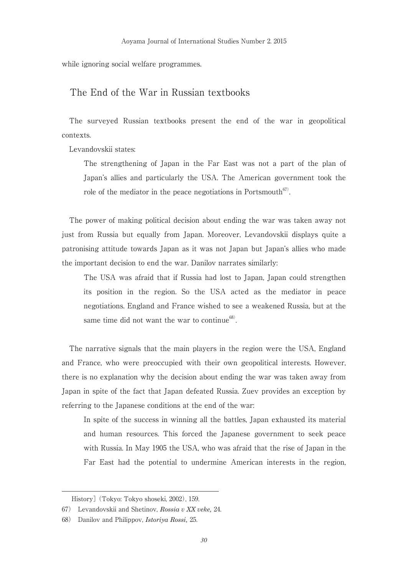while ignoring social welfare programmes.

#### The End of the War in Russian textbooks

The surveyed Russian textbooks present the end of the war in geopolitical contexts.

Levandovskii states:

The strengthening of Japan in the Far East was not a part of the plan of Japan's allies and particularly the USA. The American government took the role of the mediator in the peace negotiations in Portsmouth $67$ .

The power of making political decision about ending the war was taken away not just from Russia but equally from Japan. Moreover, Levandovskii displays quite a patronising attitude towards Japan as it was not Japan but Japan's allies who made the important decision to end the war. Danilov narrates similarly:

The USA was afraid that if Russia had lost to Japan, Japan could strengthen its position in the region. So the USA acted as the mediator in peace negotiations. England and France wished to see a weakened Russia, but at the same time did not want the war to continue<sup>68)</sup>.

The narrative signals that the main players in the region were the USA, England and France, who were preoccupied with their own geopolitical interests. However, there is no explanation why the decision about ending the war was taken away from Japan in spite of the fact that Japan defeated Russia. Zuev provides an exception by referring to the Japanese conditions at the end of the war:

In spite of the success in winning all the battles, Japan exhausted its material and human resources. This forced the Japanese government to seek peace with Russia. In May 1905 the USA, who was afraid that the rise of Japan in the Far East had the potential to undermine American interests in the region,

History] (Tokyo: Tokyo shoseki, 2002), 159.

<sup>67)</sup> Levandovskii and Shetinov, *Rossia v XX veke,* 24.

<sup>68)</sup> Danilov and Philippov, *Istoriya Rossi,* 25.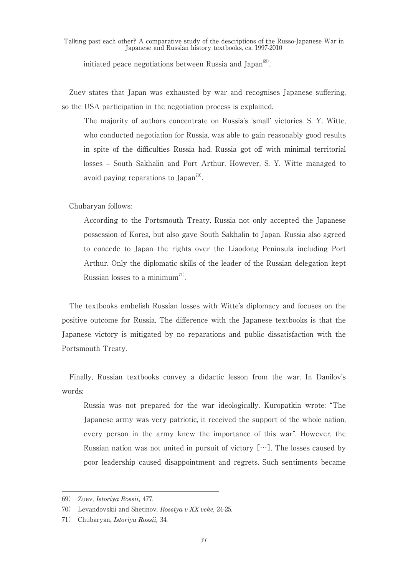initiated peace negotiations between Russia and Japan $^{69}$ .

Zuev states that Japan was exhausted by war and recognises Japanese suffering, so the USA participation in the negotiation process is explained.

The majority of authors concentrate on Russia's 'small' victories. S. Y. Witte, who conducted negotiation for Russia, was able to gain reasonably good results in spite of the difficulties Russia had. Russia got off with minimal territorial losses – South Sakhalin and Port Arthur. However, S. Y. Witte managed to avoid paying reparations to Japan<sup>70</sup>.

Chubaryan follows:

According to the Portsmouth Treaty, Russia not only accepted the Japanese possession of Korea, but also gave South Sakhalin to Japan. Russia also agreed to concede to Japan the rights over the Liaodong Peninsula including Port Arthur. Only the diplomatic skills of the leader of the Russian delegation kept Russian losses to a minimum<sup>71)</sup>.

The textbooks embelish Russian losses with Witte's diplomacy and focuses on the positive outcome for Russia. The difference with the Japanese textbooks is that the Japanese victory is mitigated by no reparations and public dissatisfaction with the Portsmouth Treaty.

Finally, Russian textbooks convey a didactic lesson from the war. In Danilov's words:

Russia was not prepared for the war ideologically. Kuropatkin wrote: "The Japanese army was very patriotic, it received the support of the whole nation, every person in the army knew the importance of this war". However, the Russian nation was not united in pursuit of victory […]. The losses caused by poor leadership caused disappointment and regrets. Such sentiments became

<sup>69)</sup> Zuev, *Istoriya Rossii,* 477.

<sup>70)</sup> Levandovskii and Shetinov, *Rossiya v XX veke,* 24-25.

<sup>71)</sup> Chubaryan, *Istoriya Rossii,* 34.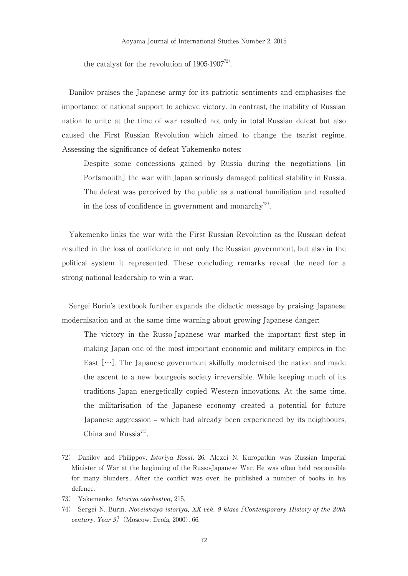the catalyst for the revolution of  $1905-1907^{72}$ .

Danilov praises the Japanese army for its patriotic sentiments and emphasises the importance of national support to achieve victory. In contrast, the inability of Russian nation to unite at the time of war resulted not only in total Russian defeat but also caused the First Russian Revolution which aimed to change the tsarist regime. Assessing the significance of defeat Yakemenko notes:

Despite some concessions gained by Russia during the negotiations [in Portsmouth] the war with Japan seriously damaged political stability in Russia. The defeat was perceived by the public as a national humiliation and resulted in the loss of confidence in government and monarchy<sup>73)</sup>.

Yakemenko links the war with the First Russian Revolution as the Russian defeat resulted in the loss of confidence in not only the Russian government, but also in the political system it represented. These concluding remarks reveal the need for a strong national leadership to win a war.

Sergei Burin's textbook further expands the didactic message by praising Japanese modernisation and at the same time warning about growing Japanese danger:

The victory in the Russo-Japanese war marked the important first step in making Japan one of the most important economic and military empires in the East  $[\cdots]$ . The Japanese government skilfully modernised the nation and made the ascent to a new bourgeois society irreversible. While keeping much of its traditions Japan energetically copied Western innovations. At the same time, the militarisation of the Japanese economy created a potential for future Japanese aggression – which had already been experienced by its neighbours, China and Russia<sup>74)</sup>.

<sup>72)</sup> Danilov and Philippov, *Istoriya Rossi,* 26. Alexei N. Kuropatkin was Russian Imperial Minister of War at the beginning of the Russo-Japanese War. He was often held responsible for many blunders.. After the conflict was over, he published a number of books in his defence.

<sup>73)</sup> Yakemenko, *Istoriya otechestva,* 215.

<sup>74)</sup> Sergei N. Burin, *Noveishaya istoriya, XX vek. 9 klass* [*Contemporary History of the 20th century. Year 9*](Moscow: Drofa, 2000), 66.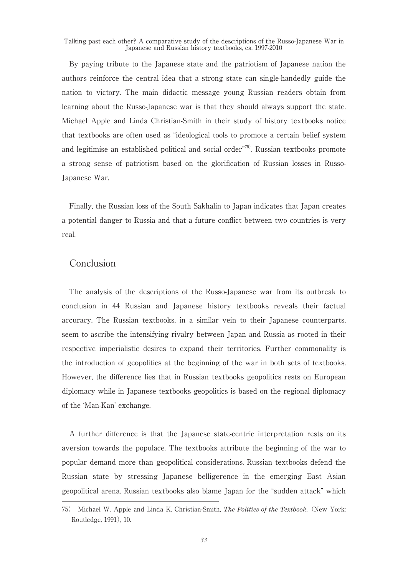By paying tribute to the Japanese state and the patriotism of Japanese nation the authors reinforce the central idea that a strong state can single-handedly guide the nation to victory. The main didactic message young Russian readers obtain from learning about the Russo-Japanese war is that they should always support the state. Michael Apple and Linda Christian-Smith in their study of history textbooks notice that textbooks are often used as "ideological tools to promote a certain belief system and legitimise an established political and social order $\overline{r^{75}}$ . Russian textbooks promote a strong sense of patriotism based on the glorification of Russian losses in Russo-Japanese War.

Finally, the Russian loss of the South Sakhalin to Japan indicates that Japan creates a potential danger to Russia and that a future conflict between two countries is very real.

## Conclusion

The analysis of the descriptions of the Russo-Japanese war from its outbreak to conclusion in 44 Russian and Japanese history textbooks reveals their factual accuracy. The Russian textbooks, in a similar vein to their Japanese counterparts, seem to ascribe the intensifying rivalry between Japan and Russia as rooted in their respective imperialistic desires to expand their territories. Further commonality is the introduction of geopolitics at the beginning of the war in both sets of textbooks. However, the difference lies that in Russian textbooks geopolitics rests on European diplomacy while in Japanese textbooks geopolitics is based on the regional diplomacy of the 'Man-Kan' exchange.

A further difference is that the Japanese state-centric interpretation rests on its aversion towards the populace. The textbooks attribute the beginning of the war to popular demand more than geopolitical considerations. Russian textbooks defend the Russian state by stressing Japanese belligerence in the emerging East Asian geopolitical arena. Russian textbooks also blame Japan for the "sudden attack" which

<sup>75)</sup> Michael W. Apple and Linda K. Christian-Smith, *The Politics of the Textbook.* (New York: Routledge, 1991), 10.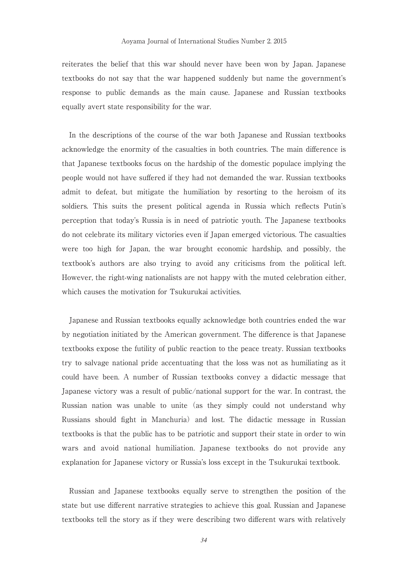reiterates the belief that this war should never have been won by Japan. Japanese textbooks do not say that the war happened suddenly but name the government's response to public demands as the main cause. Japanese and Russian textbooks equally avert state responsibility for the war.

In the descriptions of the course of the war both Japanese and Russian textbooks acknowledge the enormity of the casualties in both countries. The main difference is that Japanese textbooks focus on the hardship of the domestic populace implying the people would not have suffered if they had not demanded the war. Russian textbooks admit to defeat, but mitigate the humiliation by resorting to the heroism of its soldiers. This suits the present political agenda in Russia which reflects Putin's perception that today's Russia is in need of patriotic youth. The Japanese textbooks do not celebrate its military victories even if Japan emerged victorious. The casualties were too high for Japan, the war brought economic hardship, and possibly, the textbook's authors are also trying to avoid any criticisms from the political left. However, the right-wing nationalists are not happy with the muted celebration either, which causes the motivation for Tsukurukai activities.

Japanese and Russian textbooks equally acknowledge both countries ended the war by negotiation initiated by the American government. The difference is that Japanese textbooks expose the futility of public reaction to the peace treaty. Russian textbooks try to salvage national pride accentuating that the loss was not as humiliating as it could have been. A number of Russian textbooks convey a didactic message that Japanese victory was a result of public/national support for the war. In contrast, the Russian nation was unable to unite (as they simply could not understand why Russians should fight in Manchuria) and lost. The didactic message in Russian textbooks is that the public has to be patriotic and support their state in order to win wars and avoid national humiliation. Japanese textbooks do not provide any explanation for Japanese victory or Russia's loss except in the Tsukurukai textbook.

Russian and Japanese textbooks equally serve to strengthen the position of the state but use different narrative strategies to achieve this goal. Russian and Japanese textbooks tell the story as if they were describing two different wars with relatively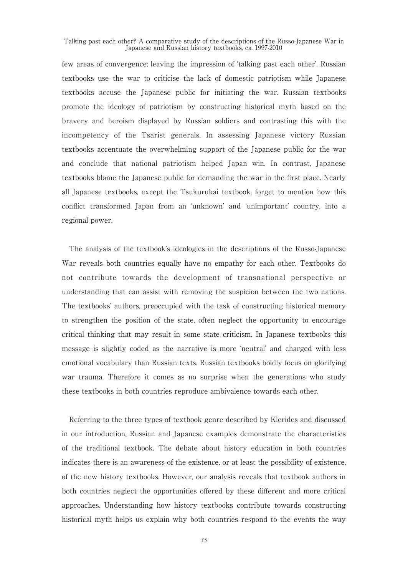few areas of convergence; leaving the impression of 'talking past each other'. Russian textbooks use the war to criticise the lack of domestic patriotism while Japanese textbooks accuse the Japanese public for initiating the war. Russian textbooks promote the ideology of patriotism by constructing historical myth based on the bravery and heroism displayed by Russian soldiers and contrasting this with the incompetency of the Tsarist generals. In assessing Japanese victory Russian textbooks accentuate the overwhelming support of the Japanese public for the war and conclude that national patriotism helped Japan win. In contrast, Japanese textbooks blame the Japanese public for demanding the war in the first place. Nearly all Japanese textbooks, except the Tsukurukai textbook, forget to mention how this conflict transformed Japan from an 'unknown' and 'unimportant' country, into a regional power.

The analysis of the textbook's ideologies in the descriptions of the Russo-Japanese War reveals both countries equally have no empathy for each other. Textbooks do not contribute towards the development of transnational perspective or understanding that can assist with removing the suspicion between the two nations. The textbooks' authors, preoccupied with the task of constructing historical memory to strengthen the position of the state, often neglect the opportunity to encourage critical thinking that may result in some state criticism. In Japanese textbooks this message is slightly coded as the narrative is more 'neutral' and charged with less emotional vocabulary than Russian texts. Russian textbooks boldly focus on glorifying war trauma. Therefore it comes as no surprise when the generations who study these textbooks in both countries reproduce ambivalence towards each other.

Referring to the three types of textbook genre described by Klerides and discussed in our introduction, Russian and Japanese examples demonstrate the characteristics of the traditional textbook. The debate about history education in both countries indicates there is an awareness of the existence, or at least the possibility of existence, of the new history textbooks. However, our analysis reveals that textbook authors in both countries neglect the opportunities offered by these different and more critical approaches. Understanding how history textbooks contribute towards constructing historical myth helps us explain why both countries respond to the events the way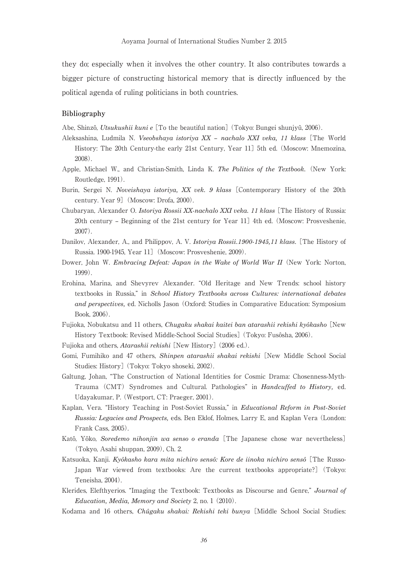they do; especially when it involves the other country. It also contributes towards a bigger picture of constructing historical memory that is directly influenced by the political agenda of ruling politicians in both countries.

#### **Bibliography**

Abe, Shinzô, *Utsukushii kuni e* [To the beautiful nation] (Tokyo: Bungei shunjyû, 2006).

- Aleksashina, Ludmila N. *Vseobshaya istoriya XX nachalo XXI veka, 11 klass* [The World History: The 20th Century-the early 21st Century, Year 11] 5th ed. (Moscow: Mnemozina, 2008).
- Apple, Michael W., and Christian-Smith, Linda K. *The Politics of the Textbook.* (New York: Routledge, 1991).
- Burin, Sergei N. *Noveishaya istoriya, XX vek. 9 klass* [Contemporary History of the 20th century. Year 9] (Moscow: Drofa, 2000).
- Chubaryan, Alexander O. *Istoriya Rossii XX-nachalo XXI veka. 11 klass* [The History of Russia: 20th century – Beginning of the 21st century for Year 11] 4th ed. (Moscow: Prosveshenie, 2007).
- Danilov, Alexander, A., and Philippov, A. V. *Istoriya Rossii.1900-1945,11 klass.* [The History of Russia. 1900-1945, Year 11](Moscow: Prosveshenie, 2009).
- Dower, John W. *Embracing Defeat: Japan in the Wake of World War II* (New York: Norton, 1999).
- Erohina, Marina, and Shevyrev Alexander. "Old Heritage and New Trends: school history textbooks in Russia," in *School History Textbooks across Cultures: international debates and perspectives,* ed. Nicholls Jason (Oxford: Studies in Comparative Education: Symposium Book, 2006).
- Fujioka, Nobukatsu and 11 others, *Chugaku shakai kaitei ban atarashii rekishi kyôkasho* [New History Textbook: Revised Middle-School Social Studies] (Tokyo: Fusôsha, 2006).

Fujioka and others, *Atarashii rekishi* [New History] (2006 ed.).

- Gomi, Fumihiko and 47 others, *Shinpen atarashii shakai rekishi* [New Middle School Social Studies: History] (Tokyo: Tokyo shoseki, 2002).
- Galtung, Johan, "The Construction of National Identities for Cosmic Drama: Chosenness-Myth-Trauma (CMT) Syndromes and Cultural. Pathologies" in *Handcuffed to History,* ed. Udayakumar, P. (Westport, CT: Praeger, 2001).
- Kaplan, Vera. "History Teaching in Post-Soviet Russia," in *Educational Reform in Post-Soviet Russia: Legacies and Prospects,* eds. Ben Eklof, Holmes, Larry E, and Kaplan Vera (London: Frank Cass, 2005).
- Katô, Yôko, *Soredemo nihonjin wa senso o eranda* [The Japanese chose war nevertheless] (Tokyo, Asahi shuppan, 2009), Ch. 2.
- Katsuoka, Kanji. *Kyôkasho kara mita nichiro sensô: Kore de iinoka nichiro sensô* [The Russo-Japan War viewed from textbooks: Are the current textbooks appropriate?] (Tokyo: Teneisha, 2004).
- Klerides, Elefthyerios. "Imaging the Textbook: Textbooks as Discourse and Genre," *Journal of Education, Media, Memory and Society* 2, no. 1 (2010).
- Kodama and 16 others, *Chûgaku shakai: Rekishi teki bunya* [Middle School Social Studies: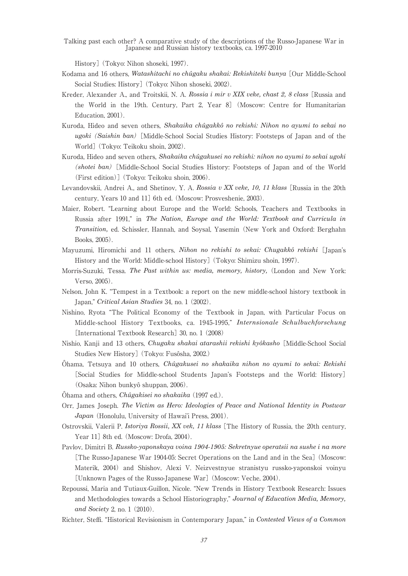History] (Tokyo: Nihon shoseki, 1997).

- Kodama and 16 others, *Watashitachi no chûgaku shakai: Rekishiteki bunya* [Our Middle-School Social Studies: History] (Tokyo: Nihon shoseki, 2002).
- Kreder, Alexander A., and Troitskii, N. A. *Rossia i mir v XIX veke, chast 2, 8 class* [Russia and the World in the 19th. Century, Part 2, Year 8] (Moscow: Centre for Humanitarian Education, 2001).
- Kuroda, Hideo and seven others, *Shakaika chûgakkô no rekishi: Nihon no ayumi to sekai no ugoki*(*Saishin ban*) [Middle-School Social Studies History: Footsteps of Japan and of the World] (Tokyo: Teikoku shoin, 2002).
- Kuroda, Hideo and seven others, *Shakaika chûgakusei no rekishi: nihon no ayumi to sekai ugoki*  (*shotei ban*) [Middle-School Social Studies History: Footsteps of Japan and of the World (First edition)] (Tokyo: Teikoku shoin, 2006).
- Levandovskii, Andrei A., and Shetinov, Y. A. *Rossia v XX veke, 10, 11 klass* [Russia in the 20th century, Years 10 and 11] 6th ed. (Moscow: Prosveshenie, 2003).
- Maier, Robert. "Learning about Europe and the World: Schools, Teachers and Textbooks in Russia after 1991," in *The Nation, Europe and the World: Textbook and Curricula in Transition,* ed. Schissler, Hannah, and Soysal, Yasemin (New York and Oxford: Berghahn Books, 2005).
- Mayuzumi, Hiromichi and 11 others, *Nihon no rekishi to sekai: Chugakkô rekishi* [Japan's History and the World: Middle-school History] (Tokyo: Shimizu shoin, 1997).
- Morris-Suzuki, Tessa. *The Past within us: media, memory, history,* (London and New York: Verso, 2005).
- Nelson, John K. "Tempest in a Textbook: a report on the new middle-school history textbook in Japan," *Critical Asian Studies* 34, no. 1 (2002).
- Nishino, Ryota "The Political Economy of the Textbook in Japan, with Particular Focus on Middle-school History Textbooks, ca. 1945-1995," *Internsionale Schulbuchforschung*  [International Textbook Research] 30, no. 1 (2008)
- Nishio, Kanji and 13 others, *Chugaku shakai atarashii rekishi kyôkasho* [Middle-School Social Studies New History] (Tokyo: Fusôsha, 2002.)
- Ôhama, Tetsuya and 10 others, *Chûgakusei no shakaika nihon no ayumi to sekai: Rekishi* [Social Studies for Middle-school Students Japan's Footsteps and the World: History] (Osaka: Nihon bunkyô shuppan, 2006).
- Ôhama and others, *Chûgakisei no shakaika* (1997 ed.).
- Orr, James Joseph. *The Victim as Hero: Ideologies of Peace and National Identity in Postwar Japan* (Honolulu, University of Hawai'i Press, 2001).
- Ostrovskii, Valerii P. *Istoriya Rossii, XX vek, 11 klass* [The History of Russia, the 20th century, Year 11] 8th ed. (Moscow: Drofa, 2004).
- Pavlov, Dimitri B. *Russko-yaponskaya voina 1904-1905: Sekretnyue operatsii na sushe i na more*  [The Russo-Japanese War 1904-05: Secret Operations on the Land and in the Sea] (Moscow: Materik, 2004) and Shishov, Alexi V. Neizvestnyue stranistyu russko-yaponskoi voinyu [Unknown Pages of the Russo-Japanese War] (Moscow: Veche, 2004).
- Repoussi, Maria and Tutiaux-Guillon, Nicole. "New Trends in History Textbook Research: Issues and Methodologies towards a School Historiography," *Journal of Education Media, Memory, and Society* 2, no. 1 (2010).
- Richter, Steffi. "Historical Revisionism in Contemporary Japan," in *Contested Views of a Common*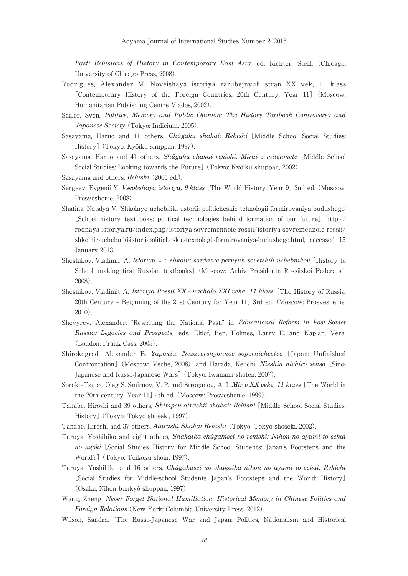Past: Revisions of History in Contemporary East Asia, ed. Richter, Steffi (Chicago: University of Chicago Press, 2008).

- Rodrigues, Alexander M. Noveishaya istoriya zarubejnyuh stran XX vek, 11 klass [Contemporary History of the Foreign Countries, 20th Century, Year 11] (Moscow: Humanitarian Publishing Centre Vlados, 2002).
- Saaler, Sven. *Politics, Memory and Public Opinion: The History Textbook Controversy and Japanese Society* (Tokyo: Indicium, 2005).
- Sasayama, Haruo and 41 others, *Chûgaku shakai: Rekishi* [Middle School Social Studies: History] (Tokyo: Kyôiku shuppan, 1997).
- Sasayama, Haruo and 41 others, *Shûgaku shakai rekishi: Mirai o mitsumete* [Middle School Social Studies: Looking towards the Future] (Tokyo: Kyôiku shuppan, 2002).
- Sasayama and others, *Rekishi* (2006 ed.).
- Sergeev, Evgenii Y. *Vseobshaya istoriya, 9 klass* [The World History, Year 9] 2nd ed. (Moscow: Prosveshenie, 2008).
- Shatina, Natalya V. 'Shkolnye uchebniki ustorii: politicheskie tehnologii formirovaniya budushego' [School history textbooks: political technologies behind formation of our future], http:// rodnaya-istoriya.ru/index.php/istoriya-sovremennoie-rossii/istoriya-sovremennoie-rossii/ shkolnie-uchebniki-istorii-politicheskie-texnologii-formirovaniya-budushego.html, accessed 15 January 2013.
- Shestakov, Vladimir A. *Istoriyu v shkolu: sozdanie pervyuh sovetskih uchebnikov* [History to School: making first Russian textbooks] (Moscow: Arhiv Presidenta Rossiiskoi Federatsii, 2008).
- Shestakov, Vladimit A. *Istoriya Rossii XX nachalo XXI veka. 11 klass* [The History of Russia: 20th Century – Beginning of the 21st Century for Year 11] 3rd ed. (Moscow: Prosveshenie, 2010).
- Shevyrev, Alexander. "Rewriting the National Past," in *Educational Reform in Post-Soviet Russia: Legacies and Prospects,* eds. Eklof, Ben, Holmes, Larry E. and Kaplan, Vera. (London: Frank Cass, 2005).
- Shirokograd, Alexander B. *Yaponia: Nezavershyonnoe sopernichestvo* [Japan: Unfinished Confrontation] (Moscow: Veche, 2008); and Harada, Keiichi, *Nisshin nichiro senso* [Sino-Japanese and Russo-Japanese Wars] (Tokyo: Iwanami shoten, 2007).
- Soroko-Tsupa, Oleg S, Smirnov, V. P. and Stroganov, A. I. *Mir v XX veke, 11 klass* [The World in the 20th century, Year 11] 4th ed. (Moscow: Prosveshenie, 1999).
- Tanabe, Hiroshi and 39 others, *Shimpen atrashii shakai: Rekishi* [Middle School Social Studies: History] (Tokyo: Tokyo shoseki, 1997).
- Tanabe, Hiroshi and 37 others, *Atarashî Shakai Rekishi* (Tokyo: Tokyo shoseki, 2002).
- Teruya, Yoshihiko and eight others, *Shakaika chûgakisei no rekishi: Nihon no ayumi to sekai no ugoki* [Social Studies History for Middle School Students: Japan's Footsteps and the World's] (Tokyo: Teikoku shoin, 1997).
- Teruya, Yoshihiko and 16 others, *Chûgakusei no shakaika nihon no ayumi to sekai: Rekishi* [Social Studies for Middle-school Students Japan's Footsteps and the World: History] (Osaka, Nihon bunkyô shuppan, 1997).
- Wang, Zheng, *Never Forget National Humiliation: Historical Memory in Chinese Politics and Foreign Relations* (New York: Columbia University Press, 2012).
- Wilson, Sandra. "The Russo-Japanese War and Japan: Politics, Nationalism and Historical